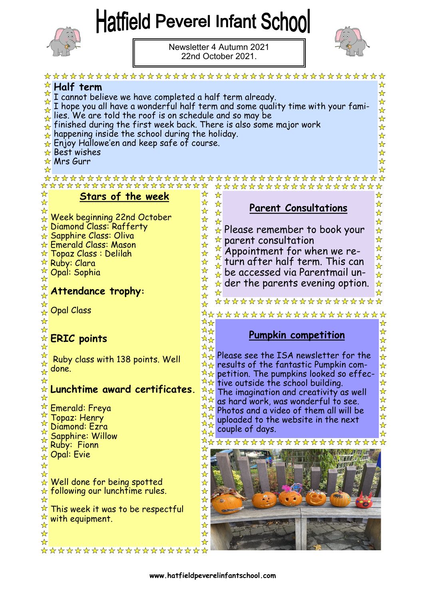## **Hatfield Peverel Infant School**



Newsletter 4 Autumn 2021 22nd October 2021.